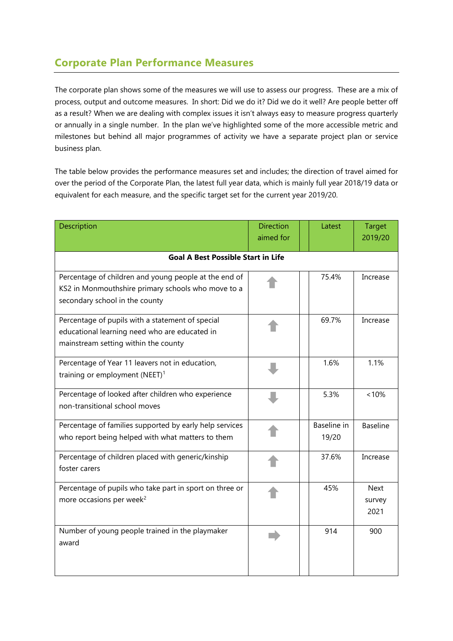## **Corporate Plan Performance Measures**

The corporate plan shows some of the measures we will use to assess our progress. These are a mix of process, output and outcome measures. In short: Did we do it? Did we do it well? Are people better off as a result? When we are dealing with complex issues it isn't always easy to measure progress quarterly or annually in a single number. In the plan we've highlighted some of the more accessible metric and milestones but behind all major programmes of activity we have a separate project plan or service business plan.

The table below provides the performance measures set and includes; the direction of travel aimed for over the period of the Corporate Plan, the latest full year data, which is mainly full year 2018/19 data or equivalent for each measure, and the specific target set for the current year 2019/20.

| Description                                                                                                                                   | <b>Direction</b><br>aimed for | Latest               | <b>Target</b><br>2019/20      |  |  |
|-----------------------------------------------------------------------------------------------------------------------------------------------|-------------------------------|----------------------|-------------------------------|--|--|
| <b>Goal A Best Possible Start in Life</b>                                                                                                     |                               |                      |                               |  |  |
| Percentage of children and young people at the end of<br>KS2 in Monmouthshire primary schools who move to a<br>secondary school in the county |                               | 75.4%                | Increase                      |  |  |
| Percentage of pupils with a statement of special<br>educational learning need who are educated in<br>mainstream setting within the county     |                               | 69.7%                | Increase                      |  |  |
| Percentage of Year 11 leavers not in education,<br>training or employment (NEET) <sup>1</sup>                                                 |                               | 1.6%                 | 1.1%                          |  |  |
| Percentage of looked after children who experience<br>non-transitional school moves                                                           |                               | 5.3%                 | $~10\%$                       |  |  |
| Percentage of families supported by early help services<br>who report being helped with what matters to them                                  |                               | Baseline in<br>19/20 | <b>Baseline</b>               |  |  |
| Percentage of children placed with generic/kinship<br>foster carers                                                                           |                               | 37.6%                | Increase                      |  |  |
| Percentage of pupils who take part in sport on three or<br>more occasions per week <sup>2</sup>                                               |                               | 45%                  | <b>Next</b><br>survey<br>2021 |  |  |
| Number of young people trained in the playmaker<br>award                                                                                      |                               | 914                  | 900                           |  |  |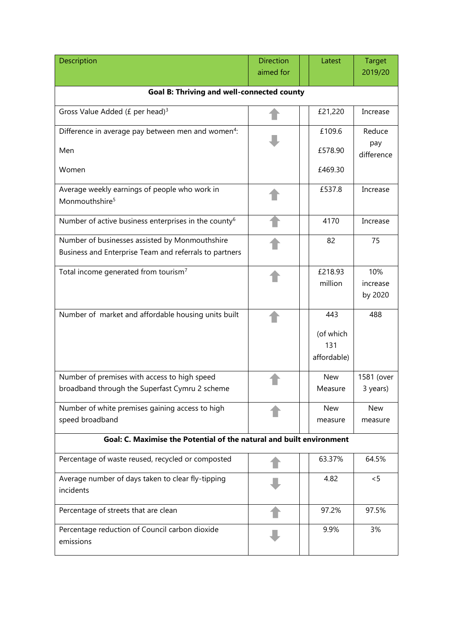| Description                                                                                              | <b>Direction</b> | Latest                                 | <b>Target</b>              |  |  |
|----------------------------------------------------------------------------------------------------------|------------------|----------------------------------------|----------------------------|--|--|
|                                                                                                          | aimed for        |                                        | 2019/20                    |  |  |
| <b>Goal B: Thriving and well-connected county</b>                                                        |                  |                                        |                            |  |  |
| Gross Value Added (£ per head) <sup>3</sup>                                                              |                  | £21,220                                | Increase                   |  |  |
| Difference in average pay between men and women <sup>4</sup> :                                           |                  | £109.6                                 | Reduce                     |  |  |
| Men                                                                                                      |                  | £578.90                                | pay<br>difference          |  |  |
| Women                                                                                                    |                  | £469.30                                |                            |  |  |
| Average weekly earnings of people who work in<br>Monmouthshire <sup>5</sup>                              |                  | £537.8                                 | Increase                   |  |  |
| Number of active business enterprises in the county <sup>6</sup>                                         |                  | 4170                                   | Increase                   |  |  |
| Number of businesses assisted by Monmouthshire<br>Business and Enterprise Team and referrals to partners |                  | 82                                     | 75                         |  |  |
| Total income generated from tourism <sup>7</sup>                                                         |                  | £218.93<br>million                     | 10%<br>increase<br>by 2020 |  |  |
| Number of market and affordable housing units built                                                      |                  | 443<br>(of which<br>131<br>affordable) | 488                        |  |  |
| Number of premises with access to high speed<br>broadband through the Superfast Cymru 2 scheme           |                  | <b>New</b><br>Measure                  | 1581 (over<br>3 years)     |  |  |
| Number of white premises gaining access to high<br>speed broadband                                       |                  | <b>New</b><br>measure                  | <b>New</b><br>measure      |  |  |
| Goal: C. Maximise the Potential of the natural and built environment                                     |                  |                                        |                            |  |  |
| Percentage of waste reused, recycled or composted                                                        |                  | 63.37%                                 | 64.5%                      |  |  |
| Average number of days taken to clear fly-tipping<br>incidents                                           |                  | 4.82                                   | < 5                        |  |  |
| Percentage of streets that are clean                                                                     |                  | 97.2%                                  | 97.5%                      |  |  |
| Percentage reduction of Council carbon dioxide<br>emissions                                              |                  | 9.9%                                   | 3%                         |  |  |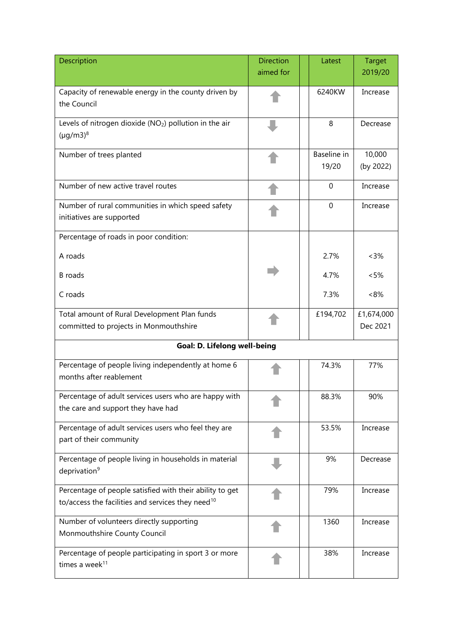| Description                                                                                                               | <b>Direction</b> | Latest               | <b>Target</b>          |
|---------------------------------------------------------------------------------------------------------------------------|------------------|----------------------|------------------------|
|                                                                                                                           | aimed for        |                      | 2019/20                |
| Capacity of renewable energy in the county driven by<br>the Council                                                       |                  | 6240KW               | Increase               |
| Levels of nitrogen dioxide (NO <sub>2</sub> ) pollution in the air<br>$(\mu q/m3)^8$                                      |                  | 8                    | Decrease               |
| Number of trees planted                                                                                                   |                  | Baseline in<br>19/20 | 10,000<br>(by 2022)    |
| Number of new active travel routes                                                                                        |                  | $\mathbf 0$          | Increase               |
| Number of rural communities in which speed safety<br>initiatives are supported                                            |                  | $\mathbf 0$          | Increase               |
| Percentage of roads in poor condition:                                                                                    |                  |                      |                        |
| A roads                                                                                                                   |                  | 2.7%                 | $<3\%$                 |
| <b>B</b> roads                                                                                                            |                  | 4.7%                 | < 5%                   |
| C roads                                                                                                                   |                  | 7.3%                 | ~18%                   |
| Total amount of Rural Development Plan funds<br>committed to projects in Monmouthshire                                    |                  | £194,702             | £1,674,000<br>Dec 2021 |
| Goal: D. Lifelong well-being                                                                                              |                  |                      |                        |
| Percentage of people living independently at home 6<br>months after reablement                                            |                  | 74.3%                | 77%                    |
| Percentage of adult services users who are happy with<br>the care and support they have had                               |                  | 88.3%                | 90%                    |
| Percentage of adult services users who feel they are<br>part of their community                                           |                  | 53.5%                | Increase               |
| Percentage of people living in households in material<br>deprivation <sup>9</sup>                                         |                  | 9%                   | Decrease               |
| Percentage of people satisfied with their ability to get<br>to/access the facilities and services they need <sup>10</sup> |                  | 79%                  | Increase               |
| Number of volunteers directly supporting<br>Monmouthshire County Council                                                  |                  | 1360                 | Increase               |
| Percentage of people participating in sport 3 or more<br>times a week <sup>11</sup>                                       |                  | 38%                  | Increase               |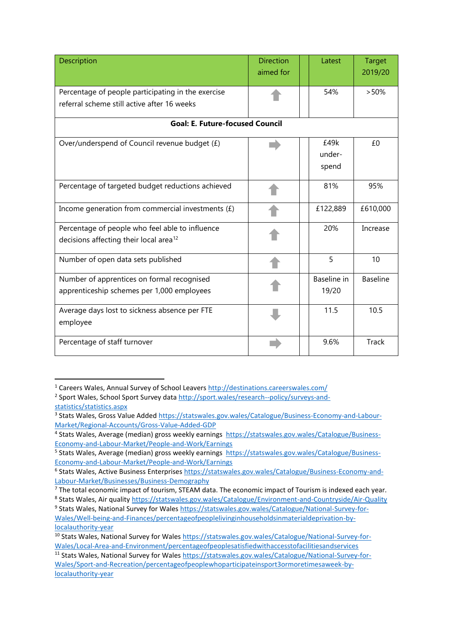| Description                                                                                           | <b>Direction</b><br>aimed for | Latest                  | <b>Target</b><br>2019/20 |  |
|-------------------------------------------------------------------------------------------------------|-------------------------------|-------------------------|--------------------------|--|
| Percentage of people participating in the exercise<br>referral scheme still active after 16 weeks     |                               | 54%                     | >50%                     |  |
| <b>Goal: E. Future-focused Council</b>                                                                |                               |                         |                          |  |
| Over/underspend of Council revenue budget (£)                                                         |                               | £49k<br>under-<br>spend | £0                       |  |
| Percentage of targeted budget reductions achieved                                                     |                               | 81%                     | 95%                      |  |
| Income generation from commercial investments $(f)$                                                   |                               | £122,889                | £610,000                 |  |
| Percentage of people who feel able to influence<br>decisions affecting their local area <sup>12</sup> |                               | 20%                     | Increase                 |  |
| Number of open data sets published                                                                    |                               | 5                       | 10                       |  |
| Number of apprentices on formal recognised<br>apprenticeship schemes per 1,000 employees              |                               | Baseline in<br>19/20    | <b>Baseline</b>          |  |
| Average days lost to sickness absence per FTE<br>employee                                             |                               | 11.5                    | 10.5                     |  |
| Percentage of staff turnover                                                                          |                               | 9.6%                    | <b>Track</b>             |  |

<sup>1</sup> Careers Wales, Annual Survey of School Leavers<http://destinations.careerswales.com/>

**.** 

<sup>&</sup>lt;sup>2</sup> Sport Wales, School Sport Survey data [http://sport.wales/research--policy/surveys-and](http://sport.wales/research--policy/surveys-and-statistics/statistics.aspx)[statistics/statistics.aspx](http://sport.wales/research--policy/surveys-and-statistics/statistics.aspx)

<sup>&</sup>lt;sup>3</sup> Stats Wales, Gross Value Adde[d https://statswales.gov.wales/Catalogue/Business-Economy-and-Labour-](https://statswales.gov.wales/Catalogue/Business-Economy-and-Labour-Market/Regional-Accounts/Gross-Value-Added-GDP)[Market/Regional-Accounts/Gross-Value-Added-GDP](https://statswales.gov.wales/Catalogue/Business-Economy-and-Labour-Market/Regional-Accounts/Gross-Value-Added-GDP)

<sup>&</sup>lt;sup>4</sup> Stats Wales, Average (median) gross weekly earnings [https://statswales.gov.wales/Catalogue/Business-](https://statswales.gov.wales/Catalogue/Business-Economy-and-Labour-Market/People-and-Work/Earnings)[Economy-and-Labour-Market/People-and-Work/Earnings](https://statswales.gov.wales/Catalogue/Business-Economy-and-Labour-Market/People-and-Work/Earnings)

<sup>&</sup>lt;sup>5</sup> Stats Wales, Average (median) gross weekly earnings [https://statswales.gov.wales/Catalogue/Business-](https://statswales.gov.wales/Catalogue/Business-Economy-and-Labour-Market/People-and-Work/Earnings)[Economy-and-Labour-Market/People-and-Work/Earnings](https://statswales.gov.wales/Catalogue/Business-Economy-and-Labour-Market/People-and-Work/Earnings)

<sup>&</sup>lt;sup>6</sup> Stats Wales, Active Business Enterprises [https://statswales.gov.wales/Catalogue/Business-Economy-and-](https://statswales.gov.wales/Catalogue/Business-Economy-and-Labour-Market/Businesses/Business-Demography)[Labour-Market/Businesses/Business-Demography](https://statswales.gov.wales/Catalogue/Business-Economy-and-Labour-Market/Businesses/Business-Demography)

<sup>&</sup>lt;sup>7</sup> The total economic impact of tourism, STEAM data. The economic impact of Tourism is indexed each year.

<sup>&</sup>lt;sup>8</sup> Stats Wales, Air quality<https://statswales.gov.wales/Catalogue/Environment-and-Countryside/Air-Quality>

<sup>&</sup>lt;sup>9</sup> Stats Wales, National Survey for Wales [https://statswales.gov.wales/Catalogue/National-Survey-for-](https://statswales.gov.wales/Catalogue/National-Survey-for-Wales/Well-being-and-Finances/percentageofpeoplelivinginhouseholdsinmaterialdeprivation-by-localauthority-year)[Wales/Well-being-and-Finances/percentageofpeoplelivinginhouseholdsinmaterialdeprivation-by](https://statswales.gov.wales/Catalogue/National-Survey-for-Wales/Well-being-and-Finances/percentageofpeoplelivinginhouseholdsinmaterialdeprivation-by-localauthority-year)[localauthority-year](https://statswales.gov.wales/Catalogue/National-Survey-for-Wales/Well-being-and-Finances/percentageofpeoplelivinginhouseholdsinmaterialdeprivation-by-localauthority-year)

<sup>10</sup> Stats Wales, National Survey for Wales [https://statswales.gov.wales/Catalogue/National-Survey-for-](https://statswales.gov.wales/Catalogue/National-Survey-for-Wales/Local-Area-and-Environment/percentageofpeoplesatisfiedwithaccesstofacilitiesandservices)[Wales/Local-Area-and-Environment/percentageofpeoplesatisfiedwithaccesstofacilitiesandservices](https://statswales.gov.wales/Catalogue/National-Survey-for-Wales/Local-Area-and-Environment/percentageofpeoplesatisfiedwithaccesstofacilitiesandservices)

<sup>11</sup> Stats Wales, National Survey for Wales [https://statswales.gov.wales/Catalogue/National-Survey-for-](https://statswales.gov.wales/Catalogue/National-Survey-for-Wales/Sport-and-Recreation/percentageofpeoplewhoparticipateinsport3ormoretimesaweek-by-localauthority-year)[Wales/Sport-and-Recreation/percentageofpeoplewhoparticipateinsport3ormoretimesaweek-by](https://statswales.gov.wales/Catalogue/National-Survey-for-Wales/Sport-and-Recreation/percentageofpeoplewhoparticipateinsport3ormoretimesaweek-by-localauthority-year)[localauthority-year](https://statswales.gov.wales/Catalogue/National-Survey-for-Wales/Sport-and-Recreation/percentageofpeoplewhoparticipateinsport3ormoretimesaweek-by-localauthority-year)